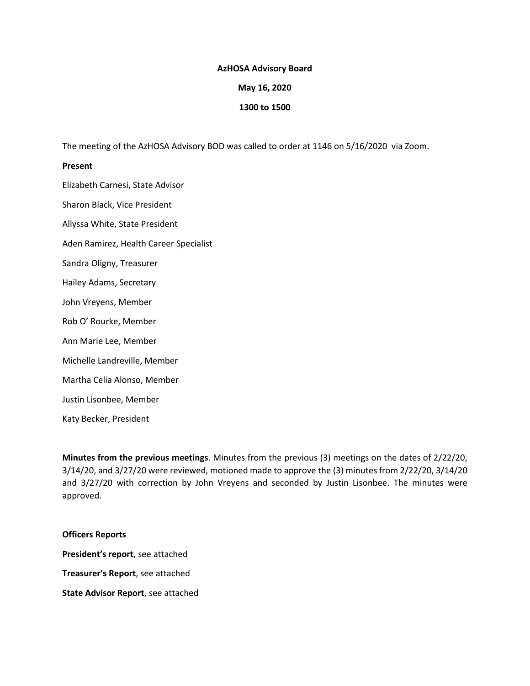### **AzHOSA Advisory Board**

### **May 16, 2020**

#### **1300 to 1500**

The meeting of the AzHOSA Advisory BOD was called to order at 1146 on 5/16/2020 via Zoom.

#### **Present**

Elizabeth Carnesi, State Advisor Sharon Black, Vice President Allyssa White, State President Aden Ramirez, Health Career Specialist Sandra Oligny, Treasurer Hailey Adams, Secretary John Vreyens, Member Rob O' Rourke, Member Ann Marie Lee, Member Michelle Landreville, Member Martha Celia Alonso, Member Justin Lisonbee, Member Katy Becker, President

**Minutes from the previous meetings**. Minutes from the previous (3) meetings on the dates of 2/22/20, 3/14/20, and 3/27/20 were reviewed, motioned made to approve the (3) minutes from 2/22/20, 3/14/20 and 3/27/20 with correction by John Vreyens and seconded by Justin Lisonbee. The minutes were approved.

## **Officers Reports**

**President's report**, see attached **Treasurer's Report**, see attached **State Advisor Report**, see attached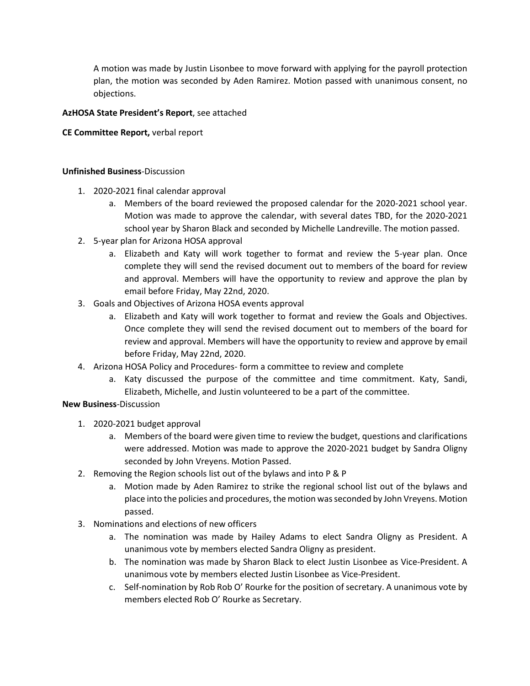A motion was made by Justin Lisonbee to move forward with applying for the payroll protection plan, the motion was seconded by Aden Ramirez. Motion passed with unanimous consent, no objections.

## **AzHOSA State President's Report**, see attached

## **CE Committee Report,** verbal report

## **Unfinished Business**-Discussion

- 1. 2020-2021 final calendar approval
	- a. Members of the board reviewed the proposed calendar for the 2020-2021 school year. Motion was made to approve the calendar, with several dates TBD, for the 2020-2021 school year by Sharon Black and seconded by Michelle Landreville. The motion passed.
- 2. 5-year plan for Arizona HOSA approval
	- a. Elizabeth and Katy will work together to format and review the 5-year plan. Once complete they will send the revised document out to members of the board for review and approval. Members will have the opportunity to review and approve the plan by email before Friday, May 22nd, 2020.
- 3. Goals and Objectives of Arizona HOSA events approval
	- a. Elizabeth and Katy will work together to format and review the Goals and Objectives. Once complete they will send the revised document out to members of the board for review and approval. Members will have the opportunity to review and approve by email before Friday, May 22nd, 2020.
- 4. Arizona HOSA Policy and Procedures- form a committee to review and complete
	- a. Katy discussed the purpose of the committee and time commitment. Katy, Sandi, Elizabeth, Michelle, and Justin volunteered to be a part of the committee.

## **New Business**-Discussion

- 1. 2020-2021 budget approval
	- a. Members of the board were given time to review the budget, questions and clarifications were addressed. Motion was made to approve the 2020-2021 budget by Sandra Oligny seconded by John Vreyens. Motion Passed.
- 2. Removing the Region schools list out of the bylaws and into P & P
	- a. Motion made by Aden Ramirez to strike the regional school list out of the bylaws and place into the policies and procedures, the motion was seconded by John Vreyens. Motion passed.
- 3. Nominations and elections of new officers
	- a. The nomination was made by Hailey Adams to elect Sandra Oligny as President. A unanimous vote by members elected Sandra Oligny as president.
	- b. The nomination was made by Sharon Black to elect Justin Lisonbee as Vice-President. A unanimous vote by members elected Justin Lisonbee as Vice-President.
	- c. Self-nomination by Rob Rob O' Rourke for the position of secretary. A unanimous vote by members elected Rob O' Rourke as Secretary.